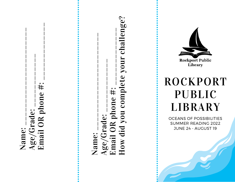Name: \_\_\_\_\_\_\_\_\_\_\_\_\_\_\_\_\_\_\_\_\_\_ Age/Grade: \_\_\_\_\_\_\_\_\_\_\_\_ Email OR phone #: \_\_\_\_\_\_\_\_\_\_\_\_\_ Name: \_\_\_\_\_\_\_\_\_\_\_\_\_\_\_\_\_\_\_\_\_\_ Age/Grade: \_\_\_\_\_\_\_\_\_\_\_\_ Email OR phone #: \_\_\_\_\_\_\_\_\_\_\_\_\_ How did you complete your challenge?

**Rockport Public** Library ROCKPORT PUBLIC LIBRARY

OCEANS OF POSSIBILITIES SUMMER READING 2022 **JUNE 24 - AUGUST 19**